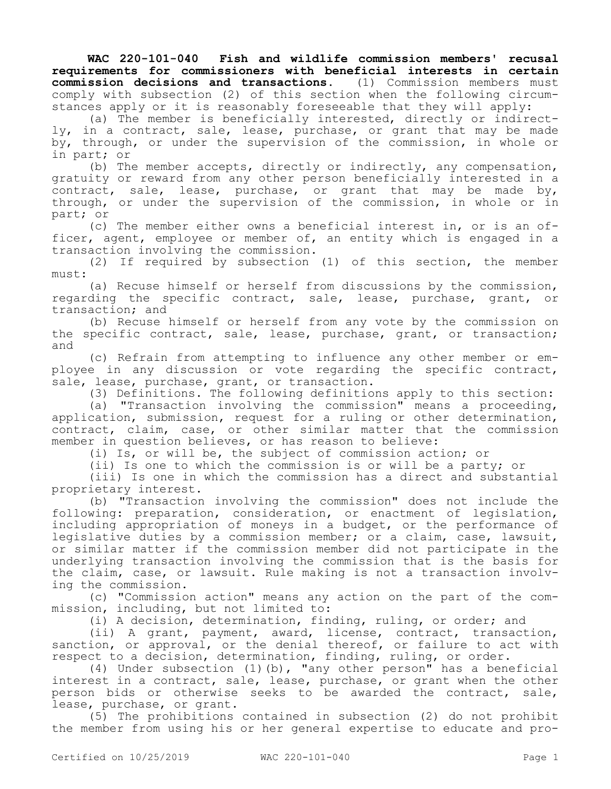**WAC 220-101-040 Fish and wildlife commission members' recusal requirements for commissioners with beneficial interests in certain commission decisions and transactions.** (1) Commission members must comply with subsection (2) of this section when the following circumstances apply or it is reasonably foreseeable that they will apply:

(a) The member is beneficially interested, directly or indirectly, in a contract, sale, lease, purchase, or grant that may be made by, through, or under the supervision of the commission, in whole or in part; or

(b) The member accepts, directly or indirectly, any compensation, gratuity or reward from any other person beneficially interested in a contract, sale, lease, purchase, or grant that may be made by, through, or under the supervision of the commission, in whole or in part; or

(c) The member either owns a beneficial interest in, or is an officer, agent, employee or member of, an entity which is engaged in a transaction involving the commission.

(2) If required by subsection (1) of this section, the member must:

(a) Recuse himself or herself from discussions by the commission, regarding the specific contract, sale, lease, purchase, grant, or transaction; and

(b) Recuse himself or herself from any vote by the commission on the specific contract, sale, lease, purchase, grant, or transaction; and

(c) Refrain from attempting to influence any other member or employee in any discussion or vote regarding the specific contract, sale, lease, purchase, grant, or transaction.

(3) Definitions. The following definitions apply to this section:

(a) "Transaction involving the commission" means a proceeding, application, submission, request for a ruling or other determination, contract, claim, case, or other similar matter that the commission member in question believes, or has reason to believe:

(i) Is, or will be, the subject of commission action; or

(ii) Is one to which the commission is or will be a party; or

(iii) Is one in which the commission has a direct and substantial proprietary interest.

(b) "Transaction involving the commission" does not include the following: preparation, consideration, or enactment of legislation, including appropriation of moneys in a budget, or the performance of legislative duties by a commission member; or a claim, case, lawsuit, or similar matter if the commission member did not participate in the underlying transaction involving the commission that is the basis for the claim, case, or lawsuit. Rule making is not a transaction involving the commission.

(c) "Commission action" means any action on the part of the commission, including, but not limited to:

(i) A decision, determination, finding, ruling, or order; and

(ii) A grant, payment, award, license, contract, transaction, sanction, or approval, or the denial thereof, or failure to act with respect to a decision, determination, finding, ruling, or order.

(4) Under subsection (1)(b), "any other person" has a beneficial interest in a contract, sale, lease, purchase, or grant when the other person bids or otherwise seeks to be awarded the contract, sale, lease, purchase, or grant.

(5) The prohibitions contained in subsection (2) do not prohibit the member from using his or her general expertise to educate and pro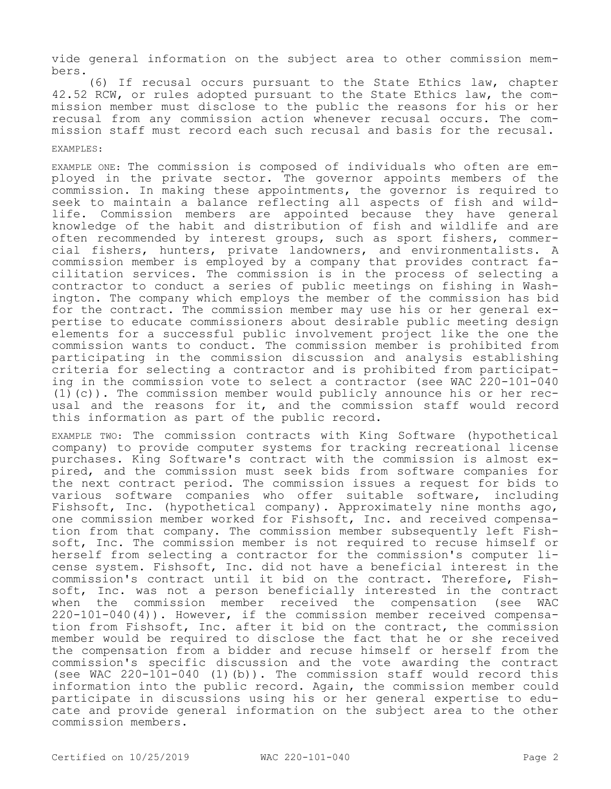vide general information on the subject area to other commission members.

(6) If recusal occurs pursuant to the State Ethics law, chapter 42.52 RCW, or rules adopted pursuant to the State Ethics law, the commission member must disclose to the public the reasons for his or her recusal from any commission action whenever recusal occurs. The commission staff must record each such recusal and basis for the recusal.

## EXAMPLES:

EXAMPLE ONE: The commission is composed of individuals who often are employed in the private sector. The governor appoints members of the commission. In making these appointments, the governor is required to seek to maintain a balance reflecting all aspects of fish and wildlife. Commission members are appointed because they have general knowledge of the habit and distribution of fish and wildlife and are often recommended by interest groups, such as sport fishers, commercial fishers, hunters, private landowners, and environmentalists. A commission member is employed by a company that provides contract facilitation services. The commission is in the process of selecting a contractor to conduct a series of public meetings on fishing in Washington. The company which employs the member of the commission has bid for the contract. The commission member may use his or her general expertise to educate commissioners about desirable public meeting design elements for a successful public involvement project like the one the commission wants to conduct. The commission member is prohibited from participating in the commission discussion and analysis establishing criteria for selecting a contractor and is prohibited from participating in the commission vote to select a contractor (see WAC 220-101-040 (1)(c)). The commission member would publicly announce his or her recusal and the reasons for it, and the commission staff would record this information as part of the public record.

EXAMPLE TWO: The commission contracts with King Software (hypothetical company) to provide computer systems for tracking recreational license purchases. King Software's contract with the commission is almost expired, and the commission must seek bids from software companies for the next contract period. The commission issues a request for bids to various software companies who offer suitable software, including Fishsoft, Inc. (hypothetical company). Approximately nine months ago, one commission member worked for Fishsoft, Inc. and received compensation from that company. The commission member subsequently left Fishsoft, Inc. The commission member is not required to recuse himself or herself from selecting a contractor for the commission's computer license system. Fishsoft, Inc. did not have a beneficial interest in the commission's contract until it bid on the contract. Therefore, Fishsoft, Inc. was not a person beneficially interested in the contract when the commission member received the compensation (see WAC 220-101-040(4)). However, if the commission member received compensation from Fishsoft, Inc. after it bid on the contract, the commission member would be required to disclose the fact that he or she received the compensation from a bidder and recuse himself or herself from the commission's specific discussion and the vote awarding the contract (see WAC 220-101-040 (1)(b)). The commission staff would record this information into the public record. Again, the commission member could participate in discussions using his or her general expertise to educate and provide general information on the subject area to the other commission members.